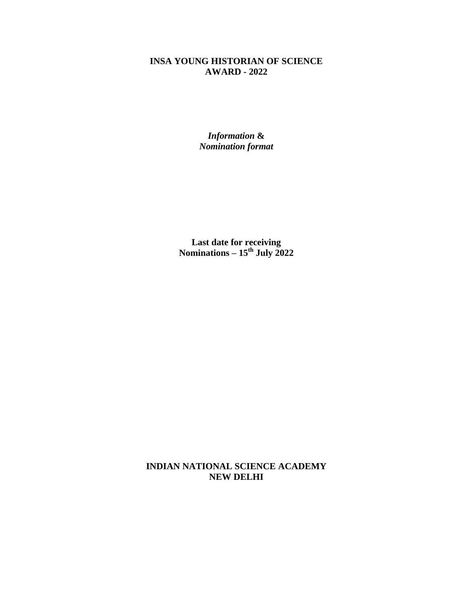## **INSA YOUNG HISTORIAN OF SCIENCE AWARD - 2022**

*Information* **&**  *Nomination format*

**Last date for receiving Nominations – 15th July 2022**

**INDIAN NATIONAL SCIENCE ACADEMY NEW DELHI**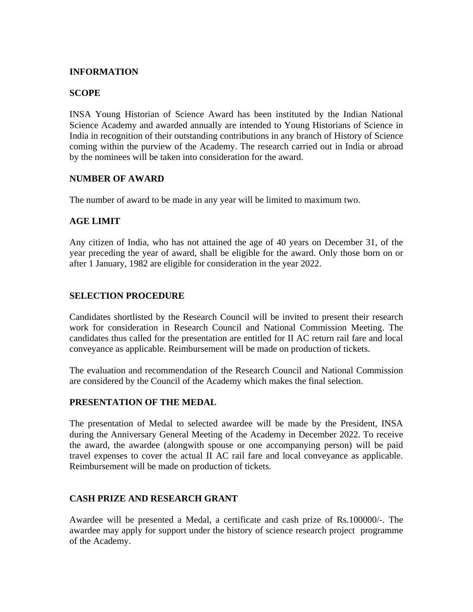#### **INFORMATION**

#### **SCOPE**

INSA Young Historian of Science Award has been instituted by the Indian National Science Academy and awarded annually are intended to Young Historians of Science in India in recognition of their outstanding contributions in any branch of History of Science coming within the purview of the Academy. The research carried out in India or abroad by the nominees will be taken into consideration for the award.

#### **NUMBER OF AWARD**

The number of award to be made in any year will be limited to maximum two.

#### **AGE LIMIT**

Any citizen of India, who has not attained the age of 40 years on December 31, of the year preceding the year of award, shall be eligible for the award. Only those born on or after 1 January, 1982 are eligible for consideration in the year 2022.

### **SELECTION PROCEDURE**

Candidates shortlisted by the Research Council will be invited to present their research work for consideration in Research Council and National Commission Meeting. The candidates thus called for the presentation are entitled for II AC return rail fare and local conveyance as applicable. Reimbursement will be made on production of tickets.

The evaluation and recommendation of the Research Council and National Commission are considered by the Council of the Academy which makes the final selection.

#### **PRESENTATION OF THE MEDAL**

The presentation of Medal to selected awardee will be made by the President, INSA during the Anniversary General Meeting of the Academy in December 2022. To receive the award, the awardee (alongwith spouse or one accompanying person) will be paid travel expenses to cover the actual II AC rail fare and local conveyance as applicable. Reimbursement will be made on production of tickets.

#### **CASH PRIZE AND RESEARCH GRANT**

Awardee will be presented a Medal, a certificate and cash prize of Rs.100000/-. The awardee may apply for support under the history of science research project programme of the Academy.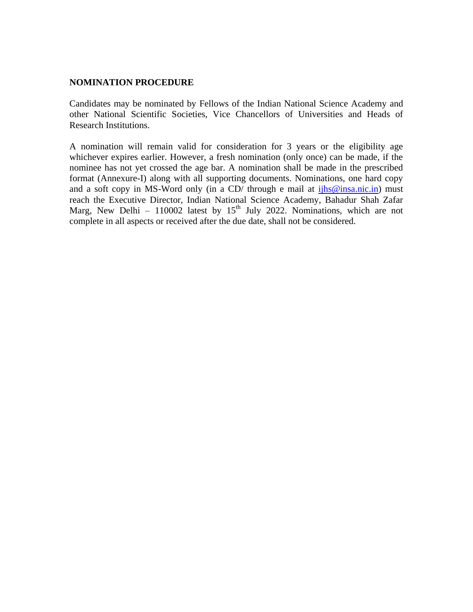#### **NOMINATION PROCEDURE**

Candidates may be nominated by Fellows of the Indian National Science Academy and other National Scientific Societies, Vice Chancellors of Universities and Heads of Research Institutions.

A nomination will remain valid for consideration for 3 years or the eligibility age whichever expires earlier. However, a fresh nomination (only once) can be made, if the nominee has not yet crossed the age bar. A nomination shall be made in the prescribed format (Annexure-I) along with all supporting documents. Nominations, one hard copy and a soft copy in MS-Word only (in a CD/ through e mail at [ijhs@insa.nic.in\)](mailto:ijhs@insa.nic.in) must reach the Executive Director, Indian National Science Academy, Bahadur Shah Zafar Marg, New Delhi – 110002 latest by  $15<sup>th</sup>$  July 2022. Nominations, which are not complete in all aspects or received after the due date, shall not be considered.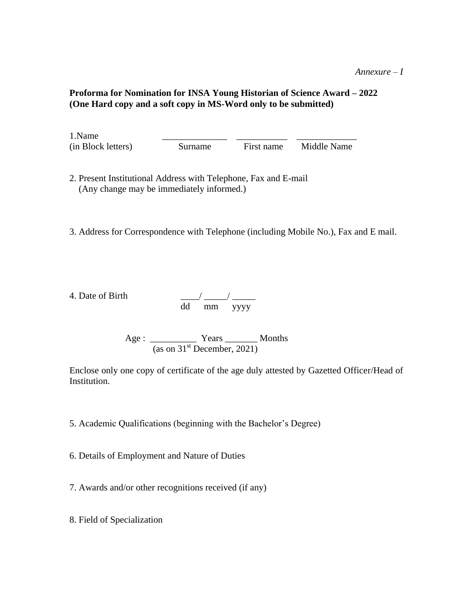#### *Annexure – I*

#### **Proforma for Nomination for INSA Young Historian of Science Award – 2022 (One Hard copy and a soft copy in MS-Word only to be submitted)**

1.Name \_\_\_\_\_\_\_\_\_\_\_\_\_\_ \_\_\_\_\_\_\_\_\_\_\_ \_\_\_\_\_\_\_\_\_\_\_\_\_ (in Block letters) Surname First name Middle Name

2. Present Institutional Address with Telephone, Fax and E-mail (Any change may be immediately informed.)

3. Address for Correspondence with Telephone (including Mobile No.), Fax and E mail.

4. Date of Birth  $\frac{1}{2}$  and  $\frac{1}{2}$  and  $\frac{1}{2}$  and  $\frac{1}{2}$  and  $\frac{1}{2}$  and  $\frac{1}{2}$  and  $\frac{1}{2}$  and  $\frac{1}{2}$  and  $\frac{1}{2}$  and  $\frac{1}{2}$  and  $\frac{1}{2}$  and  $\frac{1}{2}$  and  $\frac{1}{2}$  and  $\frac{1}{2}$  and  $\frac{1}{2}$ 

dd mm yyyy

Age : \_\_\_\_\_\_\_\_\_\_\_\_\_ Years \_\_\_\_\_\_\_\_ Months (as on  $31<sup>st</sup>$  December, 2021)

Enclose only one copy of certificate of the age duly attested by Gazetted Officer/Head of Institution.

5. Academic Qualifications (beginning with the Bachelor's Degree)

6. Details of Employment and Nature of Duties

7. Awards and/or other recognitions received (if any)

8. Field of Specialization